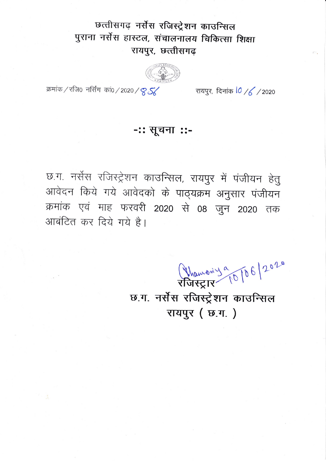## छत्तीसगढ़ नर्सेस रजिस्ट्रेशन काउन्सिल पुराना नर्सेस हास्टल, संचालनालय चिकित्सा शिक्षा रायपुर, छत्तीसगढ़

रायपुर, दिनांक 10 /6 / 2020

क्रमांक / रजि0 नर्सिंग कां0 / 2020 / 8 S

## -:: सूचना ::-

छ.ग. नर्सेस रजिस्ट्रेशन काउन्सिल, रायपुर में पंजीयन हेतु आवेदन किये गये आवेदको के पाठ्यक्रम अनुसार पंजीयन क्रमांक एवं माह फरवरी 2020 से 08 जुन 2020 तक आबंटित कर दिये गये है।

Phanony 9 10 6/2020

छ.ग. नर्सेस रजिस्ट्रेशन काउन्सिल रायपूर (छ.ग.)